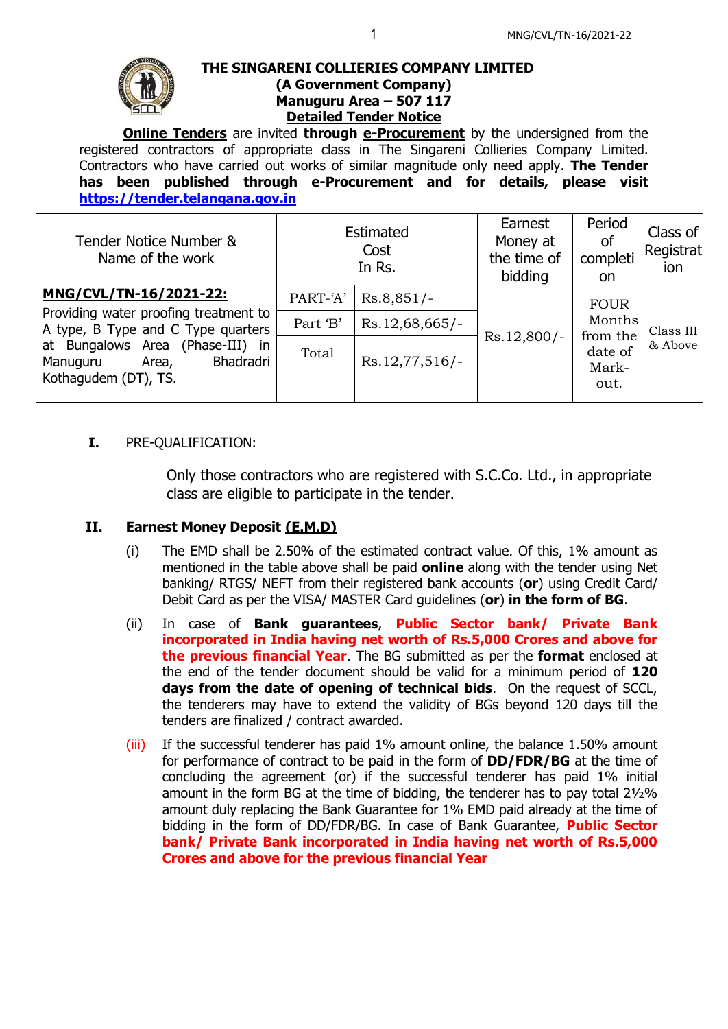

### **THE SINGARENI COLLIERIES COMPANY LIMITED (A Government Company) Manuguru Area – 507 117 Detailed Tender Notice**

**Online Tenders** are invited **through e-Procurement** by the undersigned from the registered contractors of appropriate class in The Singareni Collieries Company Limited. Contractors who have carried out works of similar magnitude only need apply. **The Tender has been published through e-Procurement and for details, please visit [https://tender.telangana.gov.in](https://tender.telangana.gov.in/)**

| Tender Notice Number &<br>Name of the work                                                                                                                                                          | Estimated<br>Cost<br>In Rs. |                | Earnest<br>Money at<br>the time of<br>bidding | Period<br><b>of</b><br>completi<br><b>on</b>                  | Class of<br>Registrat<br>ion |
|-----------------------------------------------------------------------------------------------------------------------------------------------------------------------------------------------------|-----------------------------|----------------|-----------------------------------------------|---------------------------------------------------------------|------------------------------|
| MNG/CVL/TN-16/2021-22:<br>Providing water proofing treatment to<br>A type, B Type and C Type quarters<br>at Bungalows Area (Phase-III) in<br>Bhadradri<br>Manuguru<br>Area,<br>Kothagudem (DT), TS. | PART-'A'                    | $Rs.8,851/-$   | $Rs.12,800/-$                                 | <b>FOUR</b><br>Months<br>from the<br>date of<br>Mark-<br>out. | Class III<br>& Above         |
|                                                                                                                                                                                                     | Part 'B'                    | Rs.12,68,665/- |                                               |                                                               |                              |
|                                                                                                                                                                                                     | Total                       | Rs.12,77,516/- |                                               |                                                               |                              |

## **I.** PRE-QUALIFICATION:

Only those contractors who are registered with S.C.Co. Ltd., in appropriate class are eligible to participate in the tender.

# **II. Earnest Money Deposit (E.M.D)**

- (i) The EMD shall be 2.50% of the estimated contract value. Of this, 1% amount as mentioned in the table above shall be paid **online** along with the tender using Net banking/ RTGS/ NEFT from their registered bank accounts (**or**) using Credit Card/ Debit Card as per the VISA/ MASTER Card guidelines (**or**) **in the form of BG**.
- (ii) In case of **Bank guarantees**, **Public Sector bank/ Private Bank incorporated in India having net worth of Rs.5,000 Crores and above for the previous financial Year**. The BG submitted as per the **format** enclosed at the end of the tender document should be valid for a minimum period of **120 days from the date of opening of technical bids**. On the request of SCCL, the tenderers may have to extend the validity of BGs beyond 120 days till the tenders are finalized / contract awarded.
- (iii) If the successful tenderer has paid 1% amount online, the balance 1.50% amount for performance of contract to be paid in the form of **DD/FDR/BG** at the time of concluding the agreement (or) if the successful tenderer has paid 1% initial amount in the form BG at the time of bidding, the tenderer has to pay total 2½% amount duly replacing the Bank Guarantee for 1% EMD paid already at the time of bidding in the form of DD/FDR/BG. In case of Bank Guarantee, **Public Sector bank/ Private Bank incorporated in India having net worth of Rs.5,000 Crores and above for the previous financial Year**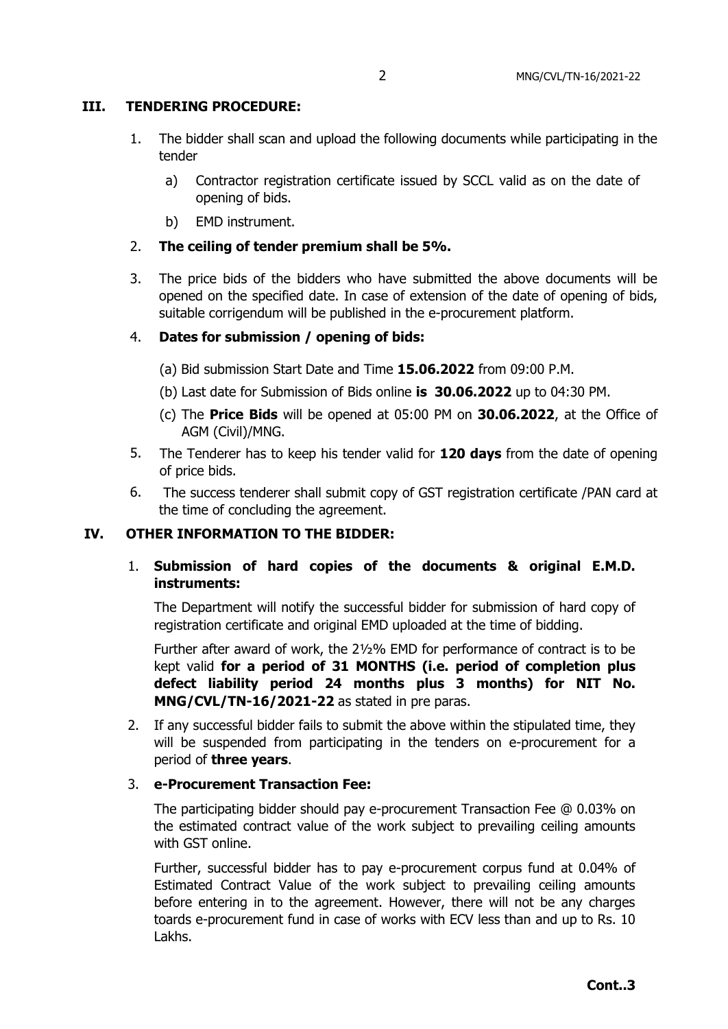#### **III. TENDERING PROCEDURE:**

- 1. The bidder shall scan and upload the following documents while participating in the tender
	- a) Contractor registration certificate issued by SCCL valid as on the date of opening of bids.
	- b) EMD instrument.
- 2. **The ceiling of tender premium shall be 5%.**
- 3. The price bids of the bidders who have submitted the above documents will be opened on the specified date. In case of extension of the date of opening of bids, suitable corrigendum will be published in the e-procurement platform.

#### 4. **Dates for submission / opening of bids:**

- (a) Bid submission Start Date and Time **15.06.2022** from 09:00 P.M.
- (b) Last date for Submission of Bids online **is 30.06.2022** up to 04:30 PM.
- (c) The **Price Bids** will be opened at 05:00 PM on **30.06.2022**, at the Office of AGM (Civil)/MNG.
- 5. The Tenderer has to keep his tender valid for **120 days** from the date of opening of price bids.
- 6. The success tenderer shall submit copy of GST registration certificate /PAN card at the time of concluding the agreement.

#### **IV. OTHER INFORMATION TO THE BIDDER:**

## 1. **Submission of hard copies of the documents & original E.M.D. instruments:**

The Department will notify the successful bidder for submission of hard copy of registration certificate and original EMD uploaded at the time of bidding.

Further after award of work, the 2½% EMD for performance of contract is to be kept valid **for a period of 31 MONTHS (i.e. period of completion plus defect liability period 24 months plus 3 months) for NIT No. MNG/CVL/TN-16/2021-22** as stated in pre paras.

2. If any successful bidder fails to submit the above within the stipulated time, they will be suspended from participating in the tenders on e-procurement for a period of **three years**.

#### 3. **e-Procurement Transaction Fee:**

The participating bidder should pay e-procurement Transaction Fee @ 0.03% on the estimated contract value of the work subject to prevailing ceiling amounts with GST online.

Further, successful bidder has to pay e-procurement corpus fund at 0.04% of Estimated Contract Value of the work subject to prevailing ceiling amounts before entering in to the agreement. However, there will not be any charges toards e-procurement fund in case of works with ECV less than and up to Rs. 10 Lakhs.